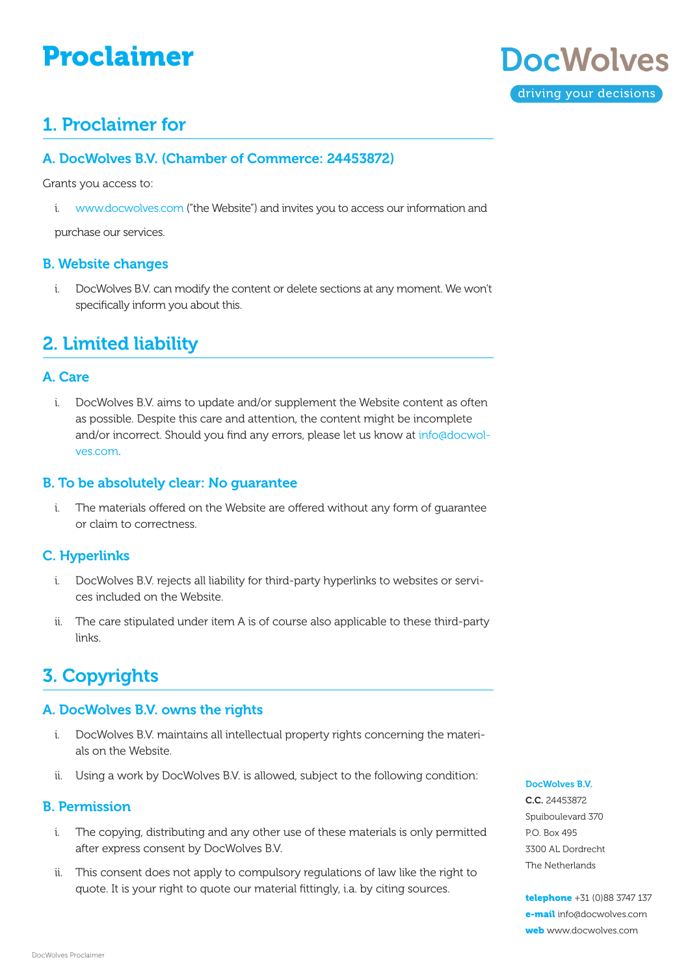# Proclaimer



### 1. Proclaimer for

### A. DocWolves B.V. (Chamber of Commerce: 24453872)

Grants you access to:

i. [www.docwolves.c](https://www.docwolves.com)om ("the Website") and invites you to access our information and

purchase our services.

#### B. Website changes

i. DocWolves B.V. can modify the content or delete sections at any moment. We won't specifically inform you about this.

### 2. Limited liability

#### A. Care

i. DocWolves B.V. aims to update and/or supplement the Website content as often as possible. Despite this care and attention, the content might be incomplete and/or incorrect. Should you find any errors, please let us know at [info@docwol](mailto:info%40docwolves.com?subject=)[ves.c](mailto:info%40docwolves.com?subject=)om.

#### B. To be absolutely clear: No guarantee

i. The materials offered on the Website are offered without any form of guarantee or claim to correctness.

### C. Hyperlinks

- i. DocWolves B.V. rejects all liability for third-party hyperlinks to websites or services included on the Website.
- ii. The care stipulated under item A is of course also applicable to these third-party links.

# 3. Copyrights

### A. DocWolves B.V. owns the rights

- i. DocWolves B.V. maintains all intellectual property rights concerning the materials on the Website.
- ii. Using a work by DocWolves B.V. is allowed, subject to the following condition:

### B. Permission

- i. The copying, distributing and any other use of these materials is only permitted after express consent by DocWolves B.V.
- ii. This consent does not apply to compulsory regulations of law like the right to quote. It is your right to quote our material fittingly, i.a. by citing sources.

#### DocWolves B.V.

C.C. 24453872 Spuiboulevard 370 P.O. Box 495 3300 AL Dordrecht The Netherlands

telephone +31 (0)88 3747 137 e-mail [info@docwolves.c](mailto:info%40docwolves.com?subject=)om web [www.docwolves.](http://www.docwolves.com)com